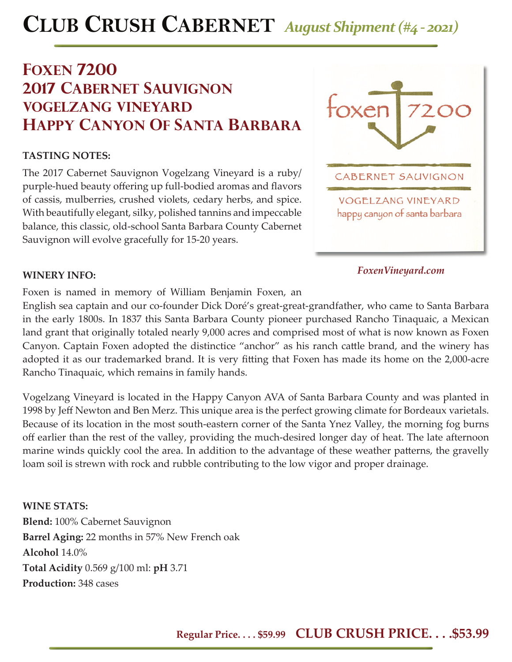# **CLUB CRUSH CABERNET** *August Shipment (#4 - 2021)*

## **foxen 7200 2017 cabernet sauvignon vogelzang vineyard happy canyon of santa barbara**

### **TASTING NOTES:**

The 2017 Cabernet Sauvignon Vogelzang Vineyard is a ruby/ purple-hued beauty offering up full-bodied aromas and flavors of cassis, mulberries, crushed violets, cedary herbs, and spice. With beautifully elegant, silky, polished tannins and impeccable balance, this classic, old-school Santa Barbara County Cabernet Sauvignon will evolve gracefully for 15-20 years.



### *FoxenVineyard.com*

### **WINERY INFO:**

Foxen is named in memory of William Benjamin Foxen, an

English sea captain and our co-founder Dick Doré's great-great-grandfather, who came to Santa Barbara in the early 1800s. In 1837 this Santa Barbara County pioneer purchased Rancho Tinaquaic, a Mexican land grant that originally totaled nearly 9,000 acres and comprised most of what is now known as Foxen Canyon. Captain Foxen adopted the distinctice "anchor" as his ranch cattle brand, and the winery has adopted it as our trademarked brand. It is very fitting that Foxen has made its home on the 2,000-acre Rancho Tinaquaic, which remains in family hands.

Vogelzang Vineyard is located in the Happy Canyon AVA of Santa Barbara County and was planted in 1998 by Jeff Newton and Ben Merz. This unique area is the perfect growing climate for Bordeaux varietals. Because of its location in the most south-eastern corner of the Santa Ynez Valley, the morning fog burns off earlier than the rest of the valley, providing the much-desired longer day of heat. The late afternoon marine winds quickly cool the area. In addition to the advantage of these weather patterns, the gravelly loam soil is strewn with rock and rubble contributing to the low vigor and proper drainage.

### **WINE STATS:**

**Blend:** 100% Cabernet Sauvignon **Barrel Aging:** 22 months in 57% New French oak **Alcohol** 14.0% **Total Acidity** 0.569 g/100 ml: **pH** 3.71 **Production:** 348 cases